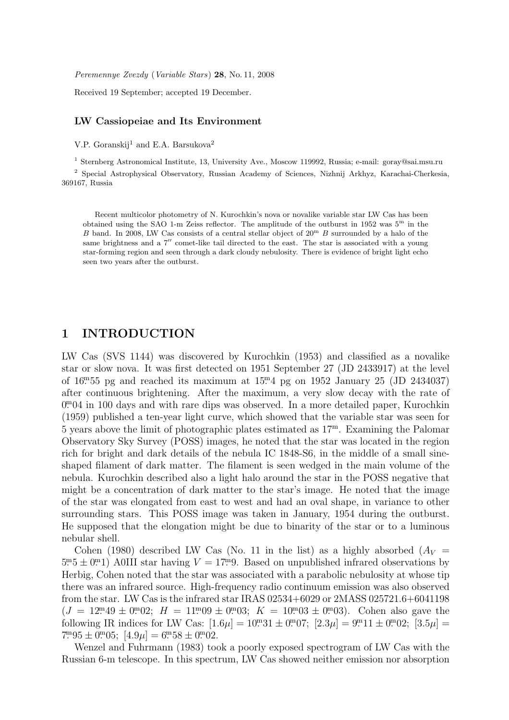Peremennye Zvezdy (Variable Stars) 28, No. 11, 2008

Received 19 September; accepted 19 December.

## LW Cassiopeiae and Its Environment

V.P. Goranskij<sup>1</sup> and E.A. Barsukova<sup>2</sup>

<sup>1</sup> Sternberg Astronomical Institute, 13, University Ave., Moscow 119992, Russia; e-mail: goray@sai.msu.ru <sup>2</sup> Special Astrophysical Observatory, Russian Academy of Sciences, Nizhnij Arkhyz, Karachai-Cherkesia, 369167, Russia

Recent multicolor photometry of N. Kurochkin's nova or novalike variable star LW Cas has been obtained using the SAO 1-m Zeiss reflector. The amplitude of the outburst in 1952 was  $5<sup>m</sup>$  in the B band. In 2008, LW Cas consists of a central stellar object of  $20^{\mathrm{m}}$  B surrounded by a halo of the same brightness and a  $7''$  comet-like tail directed to the east. The star is associated with a young star-forming region and seen through a dark cloudy nebulosity. There is evidence of bright light echo seen two years after the outburst.

## 1 INTRODUCTION

LW Cas (SVS 1144) was discovered by Kurochkin (1953) and classified as a novalike star or slow nova. It was first detected on 1951 September 27 (JD 2433917) at the level of  $16^{m}55$  pg and reached its maximum at  $15^{m}4$  pg on 1952 January 25 (JD 2434037) after continuous brightening. After the maximum, a very slow decay with the rate of 0.<sup>m</sup>04 in 100 days and with rare dips was observed. In a more detailed paper, Kurochkin (1959) published a ten-year light curve, which showed that the variable star was seen for 5 years above the limit of photographic plates estimated as  $17<sup>m</sup>$ . Examining the Palomar Observatory Sky Survey (POSS) images, he noted that the star was located in the region rich for bright and dark details of the nebula IC 1848-S6, in the middle of a small sineshaped filament of dark matter. The filament is seen wedged in the main volume of the nebula. Kurochkin described also a light halo around the star in the POSS negative that might be a concentration of dark matter to the star's image. He noted that the image of the star was elongated from east to west and had an oval shape, in variance to other surrounding stars. This POSS image was taken in January, 1954 during the outburst. He supposed that the elongation might be due to binarity of the star or to a luminous nebular shell.

Cohen (1980) described LW Cas (No. 11 in the list) as a highly absorbed  $(A_V =$  $5.5 \pm 0.01$  A0III star having  $V = 17.9$ . Based on unpublished infrared observations by Herbig, Cohen noted that the star was associated with a parabolic nebulosity at whose tip there was an infrared source. High-frequency radio continuum emission was also observed from the star. LW Cas is the infrared star IRAS 02534+6029 or 2MASS 025721.6+6041198  $(J = 12<sup>m</sup>49 \pm 0<sup>m</sup>02; H = 11<sup>m</sup>09 \pm 0<sup>m</sup>03; K = 10<sup>m</sup>03 \pm 0<sup>m</sup>03$ . Cohen also gave the following IR indices for LW Cas:  $[1.6\mu] = 10^{m}31 \pm 0^{m}07$ ;  $[2.3\mu] = 9^{m}11 \pm 0^{m}02$ ;  $[3.5\mu] =$  $7^{\rm m}95 \pm 0^{\rm m}05$ ;  $[4.9\mu] = 6^{\rm m}58 \pm 0^{\rm m}02$ .

Wenzel and Fuhrmann (1983) took a poorly exposed spectrogram of LW Cas with the Russian 6-m telescope. In this spectrum, LW Cas showed neither emission nor absorption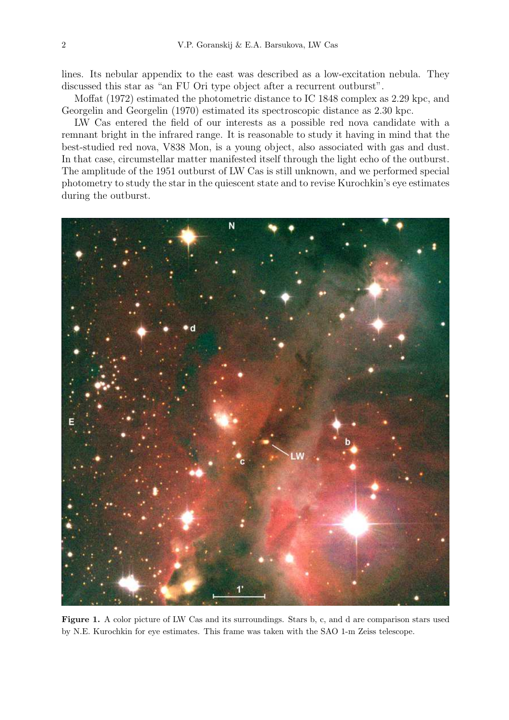lines. Its nebular appendix to the east was described as a low-excitation nebula. They discussed this star as "an FU Ori type object after a recurrent outburst".

Moffat (1972) estimated the photometric distance to IC 1848 complex as 2.29 kpc, and Georgelin and Georgelin (1970) estimated its spectroscopic distance as 2.30 kpc.

LW Cas entered the field of our interests as a possible red nova candidate with a remnant bright in the infrared range. It is reasonable to study it having in mind that the best-studied red nova, V838 Mon, is a young object, also associated with gas and dust. In that case, circumstellar matter manifested itself through the light echo of the outburst. The amplitude of the 1951 outburst of LW Cas is still unknown, and we performed special photometry to study the star in the quiescent state and to revise Kurochkin's eye estimates during the outburst.



Figure 1. A color picture of LW Cas and its surroundings. Stars b, c, and d are comparison stars used by N.E. Kurochkin for eye estimates. This frame was taken with the SAO 1-m Zeiss telescope.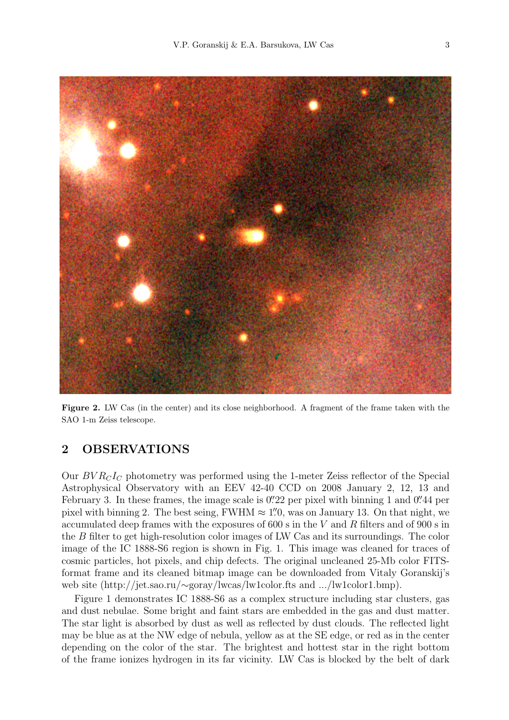

Figure 2. LW Cas (in the center) and its close neighborhood. A fragment of the frame taken with the SAO 1-m Zeiss telescope.

## 2 OBSERVATIONS

Our  $BVR<sub>C</sub>I<sub>C</sub>$  photometry was performed using the 1-meter Zeiss reflector of the Special Astrophysical Observatory with an EEV 42-40 CCD on 2008 January 2, 12, 13 and February 3. In these frames, the image scale is  $0''22$  per pixel with binning 1 and  $0''44$  per pixel with binning 2. The best seing, FWHM  $\approx 1\rlap.{''}0$ , was on January 13. On that night, we accumulated deep frames with the exposures of 600 s in the V and R filters and of 900 s in the B filter to get high-resolution color images of LW Cas and its surroundings. The color image of the IC 1888-S6 region is shown in Fig. 1. This image was cleaned for traces of cosmic particles, hot pixels, and chip defects. The original uncleaned 25-Mb color FITSformat frame and its cleaned bitmap image can be downloaded from Vitaly Goranskij's web site (http://jet.sao.ru/∼goray/lwcas/lw1color.fts and .../lw1color1.bmp).

Figure 1 demonstrates IC 1888-S6 as a complex structure including star clusters, gas and dust nebulae. Some bright and faint stars are embedded in the gas and dust matter. The star light is absorbed by dust as well as reflected by dust clouds. The reflected light may be blue as at the NW edge of nebula, yellow as at the SE edge, or red as in the center depending on the color of the star. The brightest and hottest star in the right bottom of the frame ionizes hydrogen in its far vicinity. LW Cas is blocked by the belt of dark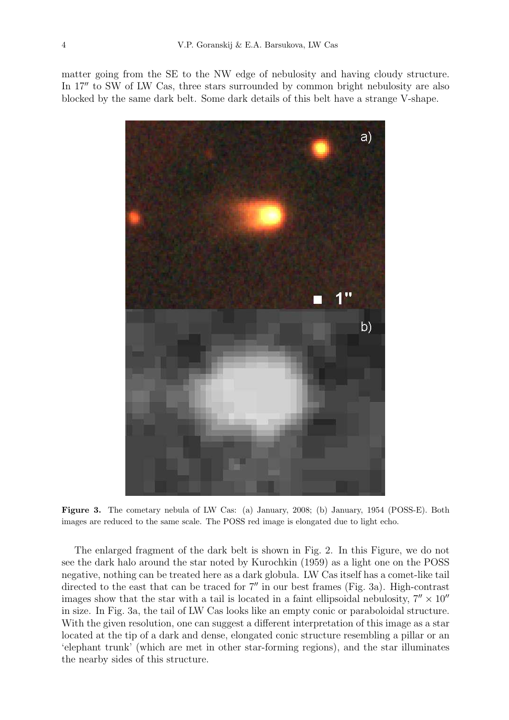matter going from the SE to the NW edge of nebulosity and having cloudy structure. In 17" to SW of LW Cas, three stars surrounded by common bright nebulosity are also blocked by the same dark belt. Some dark details of this belt have a strange V-shape.



Figure 3. The cometary nebula of LW Cas: (a) January, 2008; (b) January, 1954 (POSS-E). Both images are reduced to the same scale. The POSS red image is elongated due to light echo.

The enlarged fragment of the dark belt is shown in Fig. 2. In this Figure, we do not see the dark halo around the star noted by Kurochkin (1959) as a light one on the POSS negative, nothing can be treated here as a dark globula. LW Cas itself has a comet-like tail directed to the east that can be traced for  $7''$  in our best frames (Fig. 3a). High-contrast images show that the star with a tail is located in a faint ellipsoidal nebulosity,  $7'' \times 10''$ in size. In Fig. 3a, the tail of LW Cas looks like an empty conic or paraboloidal structure. With the given resolution, one can suggest a different interpretation of this image as a star located at the tip of a dark and dense, elongated conic structure resembling a pillar or an 'elephant trunk' (which are met in other star-forming regions), and the star illuminates the nearby sides of this structure.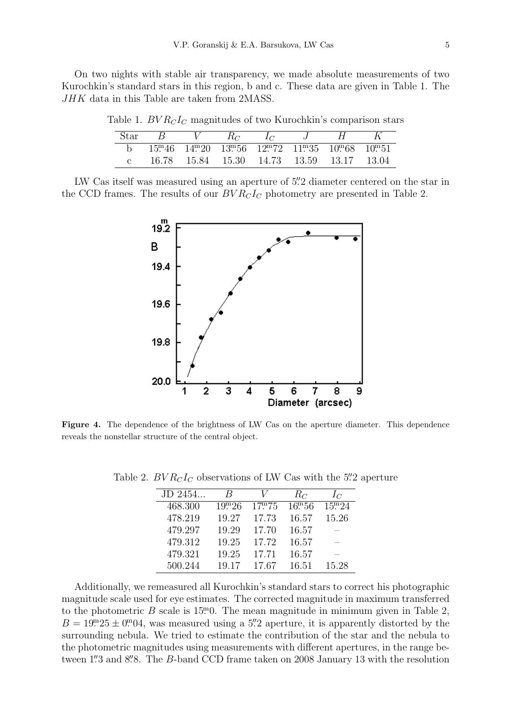On two nights with stable air transparency, we made absolute measurements of two Kurochkin's standard stars in this region, b and c. These data are given in Table 1. The JHK data in this Table are taken from 2MASS.

| Star |                                          | $_{K_C}$ |  |                                                         |         |
|------|------------------------------------------|----------|--|---------------------------------------------------------|---------|
|      |                                          |          |  | $15m46$ $14m20$ $13m56$ $12m72$ $11m35$ $10m68$ $10m51$ |         |
|      | 16.78  15.84  15.30  14.73  13.59  13.17 |          |  |                                                         | - 13.04 |

Table 1.  $BVR<sub>C</sub>I<sub>C</sub>$  magnitudes of two Kurochkin's comparison stars

LW Cas itself was measured using an aperture of 5". 2 diameter centered on the star in the CCD frames. The results of our  $BVR<sub>C</sub>I<sub>C</sub>$  photometry are presented in Table 2.



Figure 4. The dependence of the brightness of LW Cas on the aperture diameter. This dependence reveals the nonstellar structure of the central object.

| JD 2454 | $_{B}$             |                    | $R_C$      | $I_C$      |
|---------|--------------------|--------------------|------------|------------|
| 468.300 | 19 <sup>m</sup> 26 | 17 <sup>m</sup> 75 | $16^{m}56$ | $15^{m}24$ |
| 478.219 | 19.27              | 17.73              | 16.57      | 15.26      |
| 479.297 | 19.29              | 17.70              | 16.57      |            |
| 479.312 | 19.25              | 17.72              | 16.57      |            |
| 479.321 | 19.25              | 17.71              | 16.57      |            |
| 500.244 | 19.17              | 17.67              | 16.51      | 15.28      |

Table 2.  $BVR<sub>C</sub>I<sub>C</sub>$  observations of LW Cas with the 5".2 aperture

Additionally, we remeasured all Kurochkin's standard stars to correct his photographic magnitude scale used for eye estimates. The corrected magnitude in maximum transferred to the photometric B scale is  $15<sup>m</sup>0$ . The mean magnitude in minimum given in Table 2,  $B = 19^{m}25 \pm 0^{m}04$ , was measured using a 5''. 2 aperture, it is apparently distorted by the surrounding nebula. We tried to estimate the contribution of the star and the nebula to the photometric magnitudes using measurements with different apertures, in the range between 1" 3 and 8".8. The B-band CCD frame taken on 2008 January 13 with the resolution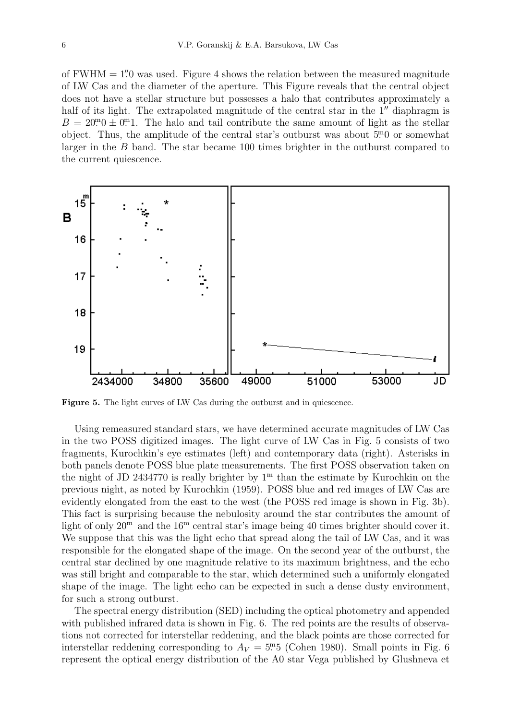of  $FWHM = 1\rlap.{''}0$  was used. Figure 4 shows the relation between the measured magnitude of LW Cas and the diameter of the aperture. This Figure reveals that the central object does not have a stellar structure but possesses a halo that contributes approximately a half of its light. The extrapolated magnitude of the central star in the  $1<sup>u</sup>$  diaphragm is  $B = 20<sup>m</sup>0 \pm 0<sup>m</sup>1$ . The halo and tail contribute the same amount of light as the stellar object. Thus, the amplitude of the central star's outburst was about  $5<sup>m</sup>0$  or somewhat larger in the B band. The star became 100 times brighter in the outburst compared to the current quiescence.



Figure 5. The light curves of LW Cas during the outburst and in quiescence.

Using remeasured standard stars, we have determined accurate magnitudes of LW Cas in the two POSS digitized images. The light curve of LW Cas in Fig. 5 consists of two fragments, Kurochkin's eye estimates (left) and contemporary data (right). Asterisks in both panels denote POSS blue plate measurements. The first POSS observation taken on the night of JD 2434770 is really brighter by  $1<sup>m</sup>$  than the estimate by Kurochkin on the previous night, as noted by Kurochkin (1959). POSS blue and red images of LW Cas are evidently elongated from the east to the west (the POSS red image is shown in Fig. 3b). This fact is surprising because the nebulosity around the star contributes the amount of light of only  $20^{\rm m}$  and the  $16^{\rm m}$  central star's image being 40 times brighter should cover it. We suppose that this was the light echo that spread along the tail of LW Cas, and it was responsible for the elongated shape of the image. On the second year of the outburst, the central star declined by one magnitude relative to its maximum brightness, and the echo was still bright and comparable to the star, which determined such a uniformly elongated shape of the image. The light echo can be expected in such a dense dusty environment, for such a strong outburst.

The spectral energy distribution (SED) including the optical photometry and appended with published infrared data is shown in Fig. 6. The red points are the results of observations not corrected for interstellar reddening, and the black points are those corrected for interstellar reddening corresponding to  $A_V = 5^{\text{m}}5$  (Cohen 1980). Small points in Fig. 6 represent the optical energy distribution of the A0 star Vega published by Glushneva et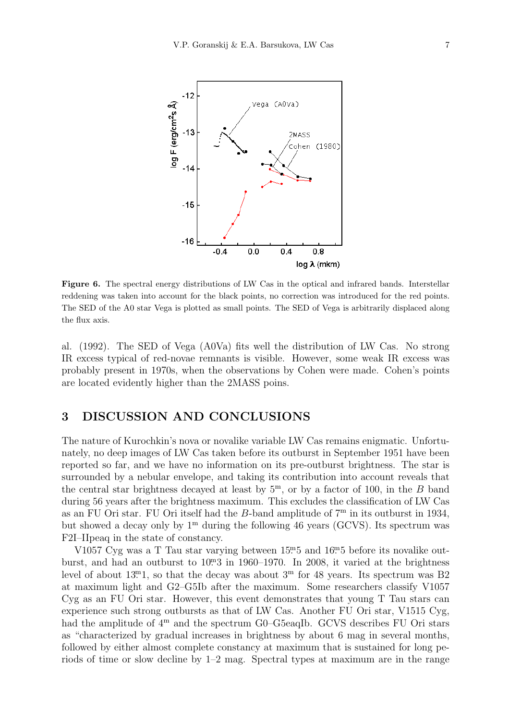

Figure 6. The spectral energy distributions of LW Cas in the optical and infrared bands. Interstellar reddening was taken into account for the black points, no correction was introduced for the red points. The SED of the A0 star Vega is plotted as small points. The SED of Vega is arbitrarily displaced along the flux axis.

al. (1992). The SED of Vega (A0Va) fits well the distribution of LW Cas. No strong IR excess typical of red-novae remnants is visible. However, some weak IR excess was probably present in 1970s, when the observations by Cohen were made. Cohen's points are located evidently higher than the 2MASS poins.

## 3 DISCUSSION AND CONCLUSIONS

The nature of Kurochkin's nova or novalike variable LW Cas remains enigmatic. Unfortunately, no deep images of LW Cas taken before its outburst in September 1951 have been reported so far, and we have no information on its pre-outburst brightness. The star is surrounded by a nebular envelope, and taking its contribution into account reveals that the central star brightness decayed at least by  $5^{\text{m}}$ , or by a factor of 100, in the B band during 56 years after the brightness maximum. This excludes the classification of LW Cas as an FU Ori star. FU Ori itself had the B-band amplitude of  $7<sup>m</sup>$  in its outburst in 1934, but showed a decay only by  $1^{\text{m}}$  during the following 46 years (GCVS). Its spectrum was F2I–IIpeaq in the state of constancy.

V1057 Cyg was a T Tau star varying between  $15^{m}5$  and  $16^{m}5$  before its novalike outburst, and had an outburst to  $10<sup>m</sup>3$  in 1960–1970. In 2008, it varied at the brightness level of about 13<sup>m</sup>1, so that the decay was about  $3<sup>m</sup>$  for 48 years. Its spectrum was B2 at maximum light and G2–G5Ib after the maximum. Some researchers classify V1057 Cyg as an FU Ori star. However, this event demonstrates that young T Tau stars can experience such strong outbursts as that of LW Cas. Another FU Ori star, V1515 Cyg, had the amplitude of  $4^{\text{m}}$  and the spectrum G0–G5eaqIb. GCVS describes FU Ori stars as "characterized by gradual increases in brightness by about 6 mag in several months, followed by either almost complete constancy at maximum that is sustained for long periods of time or slow decline by 1–2 mag. Spectral types at maximum are in the range